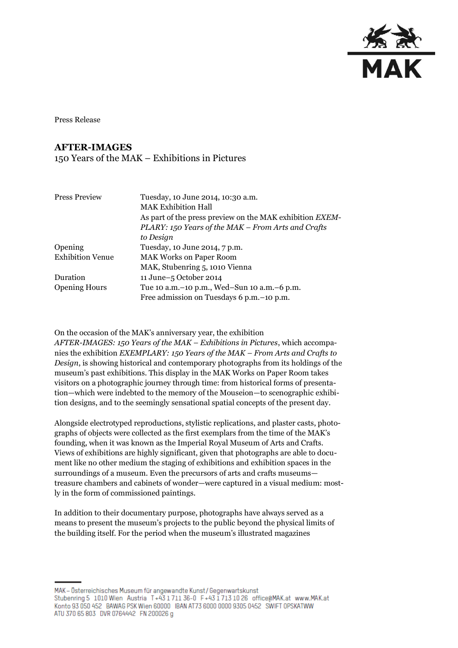

Press Release

## **AFTER-IMAGES**

## 150 Years of the MAK – Exhibitions in Pictures

| <b>Press Preview</b>    | Tuesday, 10 June 2014, 10:30 a.m.                        |
|-------------------------|----------------------------------------------------------|
|                         | <b>MAK Exhibition Hall</b>                               |
|                         | As part of the press preview on the MAK exhibition EXEM- |
|                         | PLARY: 150 Years of the MAK - From Arts and Crafts       |
|                         | to Design                                                |
| Opening                 | Tuesday, 10 June 2014, 7 p.m.                            |
| <b>Exhibition Venue</b> | <b>MAK Works on Paper Room</b>                           |
|                         | MAK, Stubenring 5, 1010 Vienna                           |
| Duration                | 11 June-5 October 2014                                   |
| <b>Opening Hours</b>    | Tue 10 a.m. – 10 p.m., Wed–Sun 10 a.m. – 6 p.m.          |
|                         | Free admission on Tuesdays 6 p.m. -10 p.m.               |

On the occasion of the MAK's anniversary year, the exhibition

*AFTER-IMAGES: 150 Years of the MAK – Exhibitions in Pictures*, which accompanies the exhibition *EXEMPLARY: 150 Years of the MAK – From Arts and Crafts to Design*, is showing historical and contemporary photographs from its holdings of the museum's past exhibitions. This display in the MAK Works on Paper Room takes visitors on a photographic journey through time: from historical forms of presentation—which were indebted to the memory of the Mouseion—to scenographic exhibition designs, and to the seemingly sensational spatial concepts of the present day.

Alongside electrotyped reproductions, stylistic replications, and plaster casts, photographs of objects were collected as the first exemplars from the time of the MAK's founding, when it was known as the Imperial Royal Museum of Arts and Crafts. Views of exhibitions are highly significant, given that photographs are able to document like no other medium the staging of exhibitions and exhibition spaces in the surroundings of a museum. Even the precursors of arts and crafts museums treasure chambers and cabinets of wonder—were captured in a visual medium: mostly in the form of commissioned paintings.

In addition to their documentary purpose, photographs have always served as a means to present the museum's projects to the public beyond the physical limits of the building itself. For the period when the museum's illustrated magazines

MAK - Österreichisches Museum für angewandte Kunst/Gegenwartskunst Stubenring 5 1010 Wien Austria T+43 1711 36-0 F+43 1713 10 26 office@MAK.at www.MAK.at Konto 93 050 452 BAWAG PSK Wien 60000 BAN AT73 6000 0000 9305 0452 SWIFT OPSKATWW ATU 370 65 803 DVR 0764442 FN 200026 g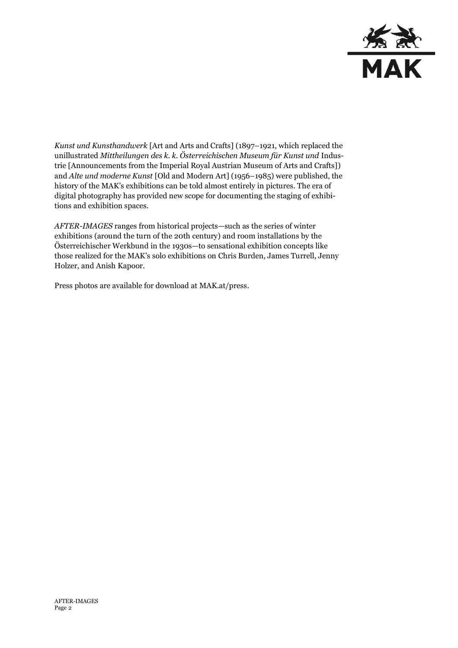

*Kunst und Kunsthandwerk* [Art and Arts and Crafts] (1897–1921, which replaced the unillustrated *Mittheilungen des k. k. Österreichischen Museum für Kunst und* Industrie [Announcements from the Imperial Royal Austrian Museum of Arts and Crafts]) and *Alte und moderne Kunst* [Old and Modern Art] (1956–1985) were published, the history of the MAK's exhibitions can be told almost entirely in pictures. The era of digital photography has provided new scope for documenting the staging of exhibitions and exhibition spaces.

*AFTER-IMAGES* ranges from historical projects—such as the series of winter exhibitions (around the turn of the 20th century) and room installations by the Österreichischer Werkbund in the 1930s—to sensational exhibition concepts like those realized for the MAK's solo exhibitions on Chris Burden, James Turrell, Jenny Holzer, and Anish Kapoor.

Press photos are available for download at MAK.at/press.